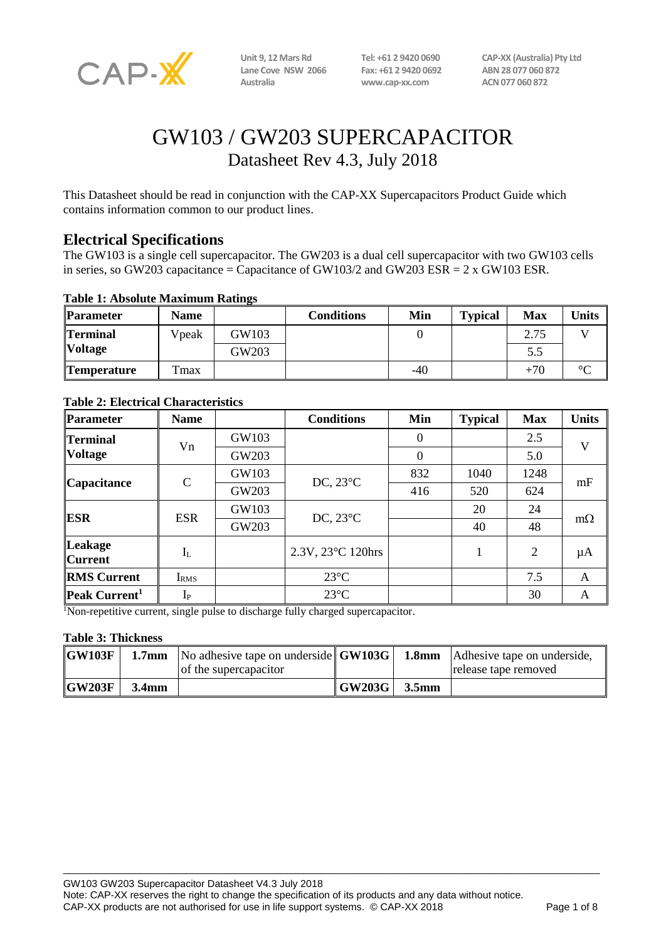

**Lane Cove NSW 2066 Fax: +61 2 9420 0692 ABN 28 077 060 872**

**Australia www.cap-xx.com ACN 077 060 872**

**Unit 9, 12 Mars Rd Tel: +61 2 9420 0690 CAP-XX (Australia) Pty Ltd**

# GW103 / GW203 SUPERCAPACITOR Datasheet Rev 4.3, July 2018

This Datasheet should be read in conjunction with the CAP-XX Supercapacitors Product Guide which contains information common to our product lines.

## **Electrical Specifications**

The GW103 is a single cell supercapacitor. The GW203 is a dual cell supercapacitor with two GW103 cells in series, so GW203 capacitance = Capacitance of GW103/2 and GW203 ESR =  $2 \times$  GW103 ESR.

#### **Table 1: Absolute Maximum Ratings**

| <b>Parameter</b>   | <b>Name</b>      |       | Conditions | Min   | <b>Typical</b> | <b>Max</b> | <b>Units</b> |
|--------------------|------------------|-------|------------|-------|----------------|------------|--------------|
| <b>Terminal</b>    | Vpeak            | GW103 |            |       |                | 2.75       |              |
| <b>Voltage</b>     |                  | GW203 |            |       |                | 5.5        |              |
| <b>Temperature</b> | T <sub>max</sub> |       |            | $-40$ |                | $+70$      | $\circ$      |

| <b>Parameter</b>                  | <b>Name</b>      |       | <b>Conditions</b>  | Min            | <b>Typical</b> | <b>Max</b> | <b>Units</b> |
|-----------------------------------|------------------|-------|--------------------|----------------|----------------|------------|--------------|
| <b>Terminal</b><br><b>Voltage</b> | Vn               | GW103 |                    | $\theta$       |                | 2.5        | V            |
|                                   |                  | GW203 |                    | $\overline{0}$ |                | 5.0        |              |
| Capacitance                       | $\mathcal{C}$    | GW103 | DC, $23^{\circ}$ C | 832            | 1040           | 1248       | mF           |
|                                   |                  | GW203 |                    | 416            | 520            | 624        |              |
| ESR                               | <b>ESR</b>       | GW103 | DC, $23^{\circ}$ C |                | 20             | 24         | $m\Omega$    |
|                                   |                  | GW203 |                    |                | 40             | 48         |              |
| <b>Leakage</b><br><b>Current</b>  | $I_{L}$          |       | 2.3V, 23°C 120hrs  |                |                | 2          | $\mu A$      |
| <b>RMS Current</b>                | I <sub>RMS</sub> |       | $23^{\circ}C$      |                |                | 7.5        | A            |
| Peak Current <sup>1</sup>         | $I_{P}$          |       | $23^{\circ}C$      |                |                | 30         | A            |

#### **Table 2: Electrical Characteristics**

<sup>1</sup>Non-repetitive current, single pulse to discharge fully charged supercapacitor.

#### **Table 3: Thickness**

| $\overline{\textbf{GW103F}}$ |       | 1.7mm   No adhesive tape on underside $\vert$ GW103G $\vert$<br>of the supercapacitor |                      |                   | <b>1.8mm</b> Adhesive tape on underside,<br>release tape removed |
|------------------------------|-------|---------------------------------------------------------------------------------------|----------------------|-------------------|------------------------------------------------------------------|
| $\overline{GW203F}$          | 3.4mm |                                                                                       | $\mid$ GW203G $\mid$ | 3.5 <sub>mm</sub> |                                                                  |

 $\_$  ,  $\_$  ,  $\_$  ,  $\_$  ,  $\_$  ,  $\_$  ,  $\_$  ,  $\_$  ,  $\_$  ,  $\_$  ,  $\_$  ,  $\_$  ,  $\_$  ,  $\_$  ,  $\_$  ,  $\_$  ,  $\_$  ,  $\_$  ,  $\_$  ,  $\_$  ,  $\_$  ,  $\_$  ,  $\_$  ,  $\_$  ,  $\_$  ,  $\_$  ,  $\_$  ,  $\_$  ,  $\_$  ,  $\_$  ,  $\_$  ,  $\_$  ,  $\_$  ,  $\_$  ,  $\_$  ,  $\_$  ,  $\_$  ,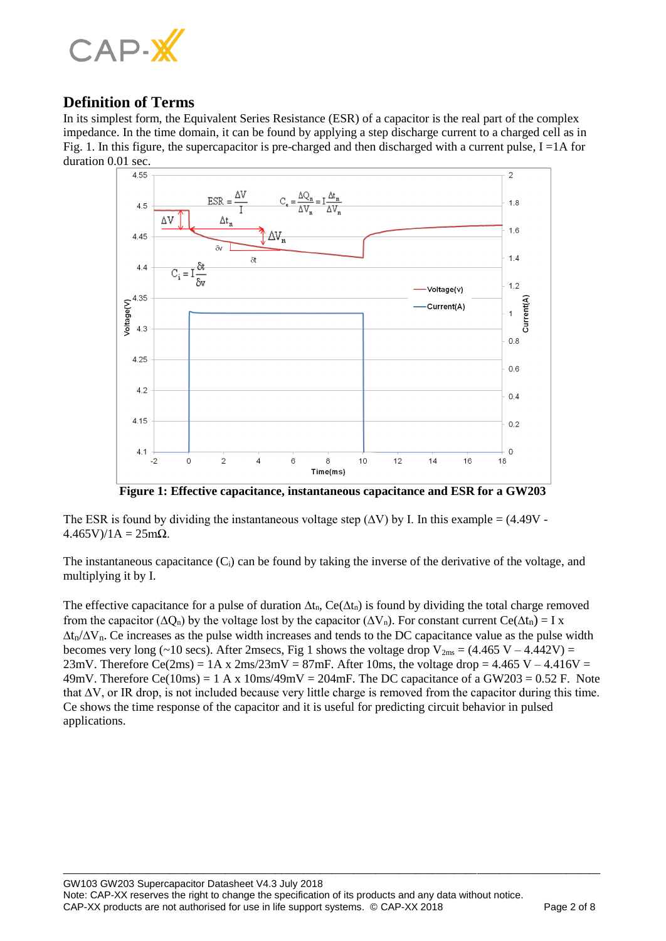

## **Definition of Terms**

In its simplest form, the Equivalent Series Resistance (ESR) of a capacitor is the real part of the complex impedance. In the time domain, it can be found by applying a step discharge current to a charged cell as in Fig. 1. In this figure, the supercapacitor is pre-charged and then discharged with a current pulse,  $I = 1A$  for duration 0.01 sec.



**Figure 1: Effective capacitance, instantaneous capacitance and ESR for a GW203**

The ESR is found by dividing the instantaneous voltage step  $(\Delta V)$  by I. In this example = (4.49V - $4.465V$  $/1A = 25m\Omega$ .

The instantaneous capacitance  $(C_i)$  can be found by taking the inverse of the derivative of the voltage, and multiplying it by I.

The effective capacitance for a pulse of duration  $\Delta t_n$ , Ce( $\Delta t_n$ ) is found by dividing the total charge removed from the capacitor ( $\Delta Q_n$ ) by the voltage lost by the capacitor ( $\Delta V_n$ ). For constant current Ce( $\Delta t_n$ ) = I x  $\Delta t_n/\Delta V_n$ . Ce increases as the pulse width increases and tends to the DC capacitance value as the pulse width becomes very long (~10 secs). After 2msecs, Fig 1 shows the voltage drop  $V_{2ms} = (4.465 V - 4.442 V) =$ 23mV. Therefore Ce(2ms) =  $1A \times 2ms/23mV = 87mF$ . After 10ms, the voltage drop =  $4.465 V - 4.416V =$ 49mV. Therefore Ce(10ms) = 1 A x 10ms/49mV = 204mF. The DC capacitance of a GW203 = 0.52 F. Note that ∆V, or IR drop, is not included because very little charge is removed from the capacitor during this time. Ce shows the time response of the capacitor and it is useful for predicting circuit behavior in pulsed applications.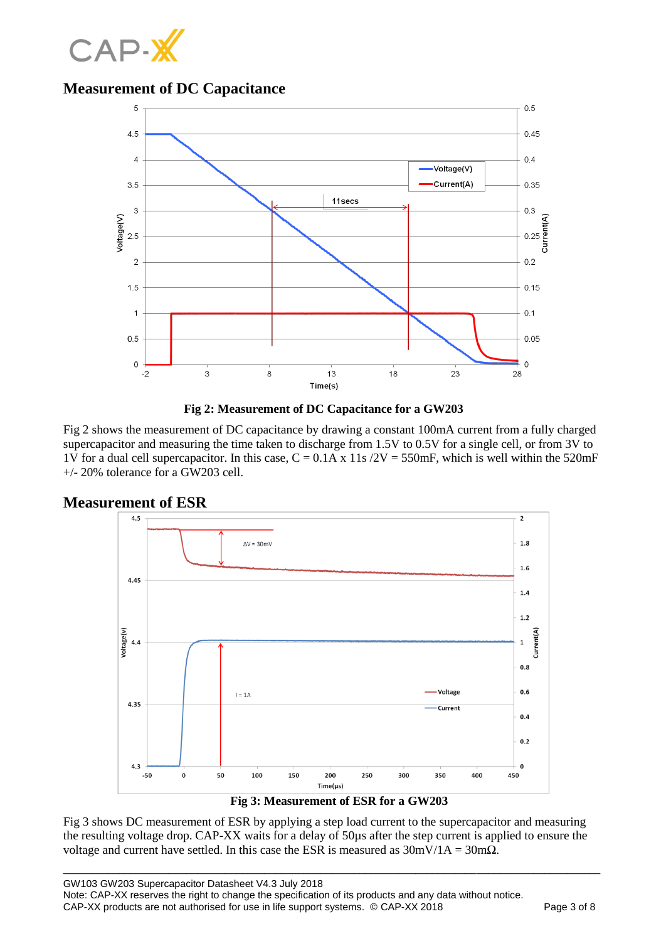

# **Measurement of DC Capacitance**





Fig 2 shows the measurement of DC capacitance by drawing a constant 100mA current from a fully charged supercapacitor and measuring the time taken to discharge from 1.5V to 0.5V for a single cell, or from 3V to 1V for a dual cell supercapacitor. In this case,  $C = 0.1A \times 11s / 2V = 550mF$ , which is well within the 520mF  $+/- 20\%$  tolerance for a GW203 cell.



Fig 3 shows DC measurement of ESR by applying a step load current to the supercapacitor and measuring the resulting voltage drop. CAP-XX waits for a delay of 50µs after the step current is applied to ensure the voltage and current have settled. In this case the ESR is measured as  $30 \text{mV}/1\text{A} = 30 \text{m}\Omega$ .

\_\_\_\_\_\_\_\_\_\_\_\_\_\_\_\_\_\_\_\_\_\_\_\_\_\_\_\_\_\_\_\_\_\_\_\_\_\_\_\_\_\_\_\_\_\_\_\_\_\_\_\_\_\_\_\_\_\_\_\_\_\_\_\_\_\_\_\_\_\_\_\_\_\_\_\_\_\_\_\_\_\_\_\_\_\_\_\_\_\_\_\_\_\_\_\_

#### **Measurement of ESR**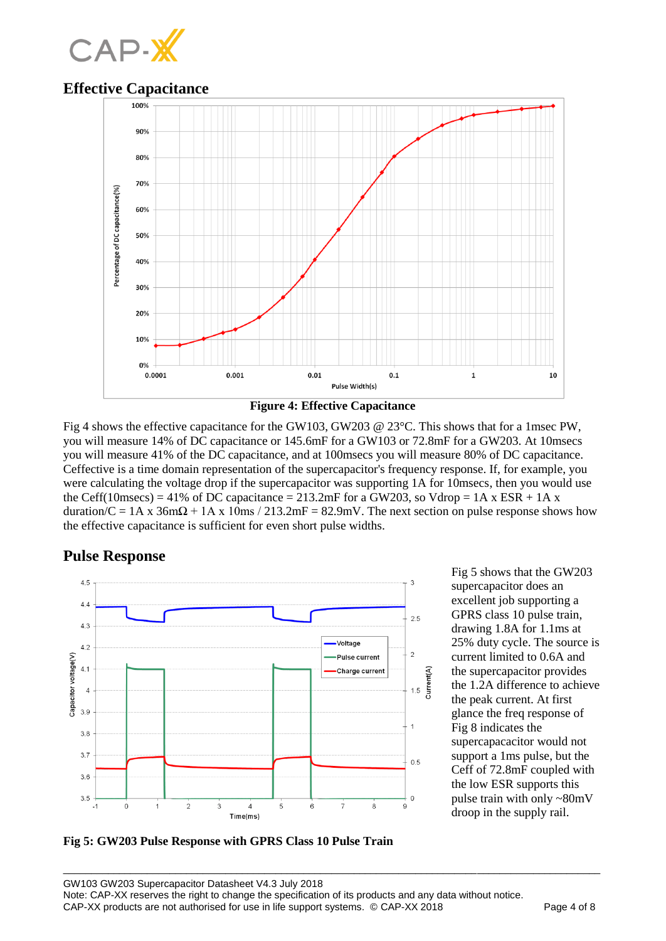

### **Effective Capacitance**



**Figure 4: Effective Capacitance**

Fig 4 shows the effective capacitance for the GW103, GW203 @ 23°C. This shows that for a 1msec PW, you will measure 14% of DC capacitance or 145.6mF for a GW103 or 72.8mF for a GW203. At 10msecs you will measure 41% of the DC capacitance, and at 100msecs you will measure 80% of DC capacitance. Ceffective is a time domain representation of the supercapacitor's frequency response. If, for example, you were calculating the voltage drop if the supercapacitor was supporting 1A for 10msecs, then you would use the Ceff(10msecs) = 41% of DC capacitance = 213.2mF for a GW203, so Vdrop = 1A x ESR + 1A x duration/C = 1A x 36m $\Omega$  + 1A x 10ms / 213.2mF = 82.9mV. The next section on pulse response shows how the effective capacitance is sufficient for even short pulse widths.

## **Pulse Response**



Fig 5 shows that the GW203 supercapacitor does an excellent job supporting a GPRS class 10 pulse train, drawing 1.8A for 1.1ms at 25% duty cycle. The source is current limited to 0.6A and the supercapacitor provides the 1.2A difference to achieve the peak current. At first glance the freq response of Fig 8 indicates the supercapacacitor would not support a 1ms pulse, but the Ceff of 72.8mF coupled with the low ESR supports this pulse train with only ~80mV droop in the supply rail.

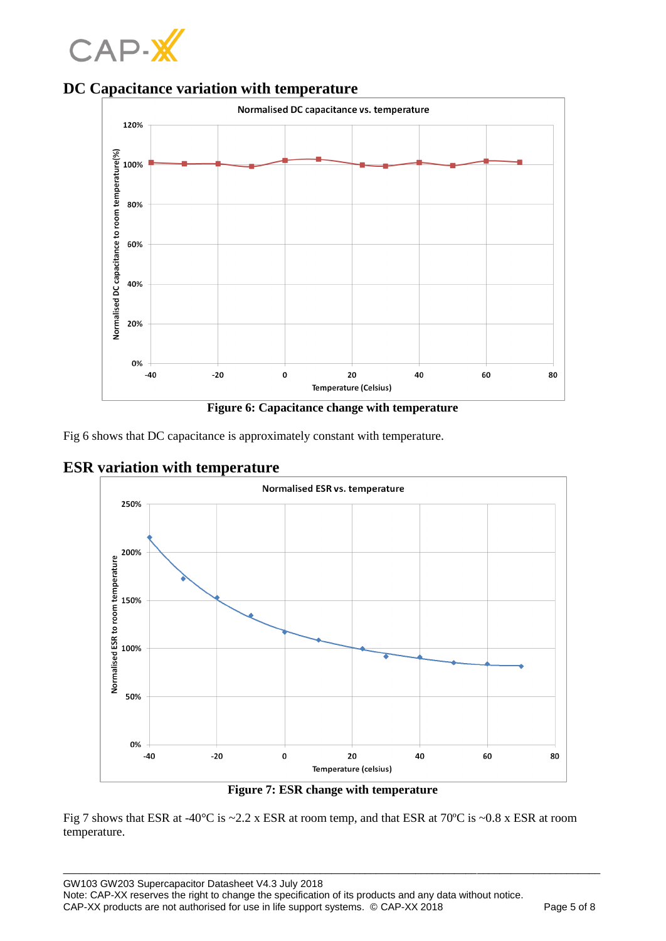







Fig 6 shows that DC capacitance is approximately constant with temperature.





**Figure 7: ESR change with temperature**

\_\_\_\_\_\_\_\_\_\_\_\_\_\_\_\_\_\_\_\_\_\_\_\_\_\_\_\_\_\_\_\_\_\_\_\_\_\_\_\_\_\_\_\_\_\_\_\_\_\_\_\_\_\_\_\_\_\_\_\_\_\_\_\_\_\_\_\_\_\_\_\_\_\_\_\_\_\_\_\_\_\_\_\_\_\_\_\_\_\_\_\_\_\_\_\_

Fig 7 shows that ESR at -40°C is ~2.2 x ESR at room temp, and that ESR at 70ºC is ~0.8 x ESR at room temperature.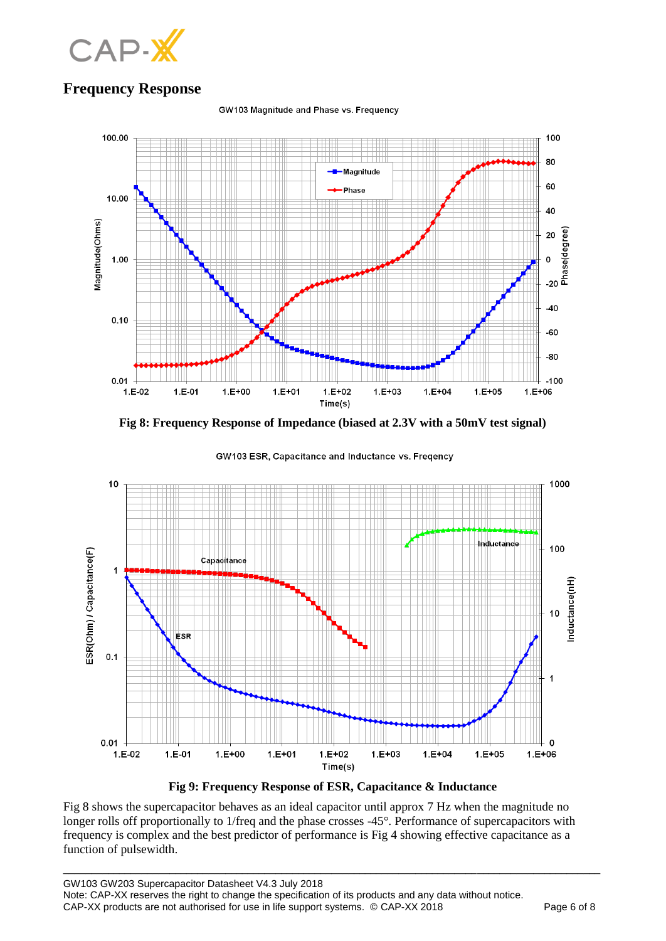

# **Frequency Response**

GW103 Magnitude and Phase vs. Frequency



**Fig 8: Frequency Response of Impedance (biased at 2.3V with a 50mV test signal)**



GW103 ESR, Capacitance and Inductance vs. Freqency

**Fig 9: Frequency Response of ESR, Capacitance & Inductance**

\_\_\_\_\_\_\_\_\_\_\_\_\_\_\_\_\_\_\_\_\_\_\_\_\_\_\_\_\_\_\_\_\_\_\_\_\_\_\_\_\_\_\_\_\_\_\_\_\_\_\_\_\_\_\_\_\_\_\_\_\_\_\_\_\_\_\_\_\_\_\_\_\_\_\_\_\_\_\_\_\_\_\_\_\_\_\_\_\_\_\_\_\_\_\_\_

Fig 8 shows the supercapacitor behaves as an ideal capacitor until approx 7 Hz when the magnitude no longer rolls off proportionally to 1/freq and the phase crosses -45°. Performance of supercapacitors with frequency is complex and the best predictor of performance is Fig 4 showing effective capacitance as a function of pulsewidth.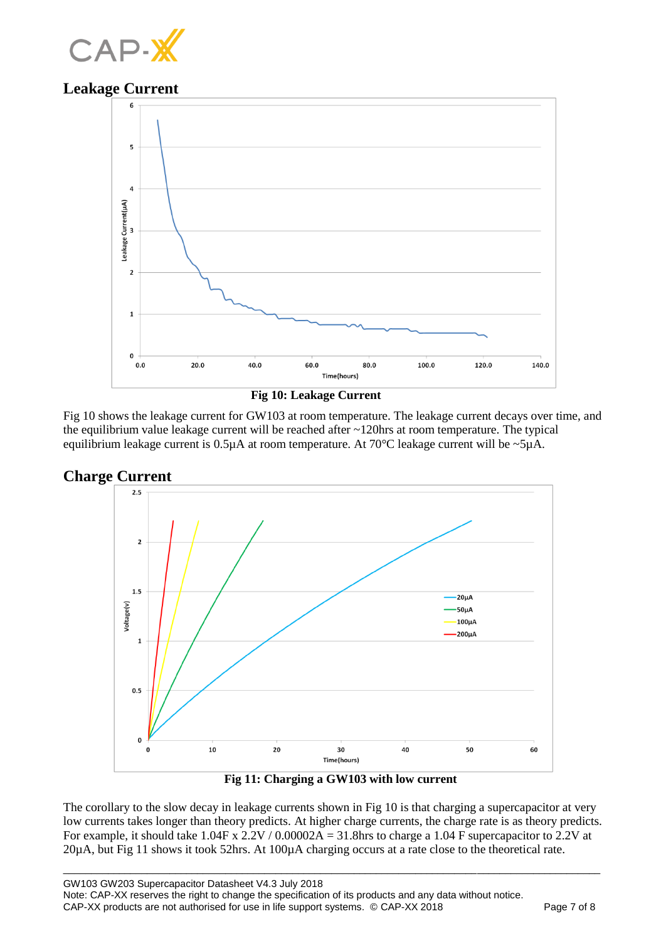

## **Leakage Current**



 **Fig 10: Leakage Current**

Fig 10 shows the leakage current for GW103 at room temperature. The leakage current decays over time, and the equilibrium value leakage current will be reached after ~120hrs at room temperature. The typical equilibrium leakage current is  $0.5\mu A$  at room temperature. At  $70\textdegree$ C leakage current will be  $\sim$ 5 $\mu A$ .





 **Fig 11: Charging a GW103 with low current**

The corollary to the slow decay in leakage currents shown in Fig 10 is that charging a supercapacitor at very low currents takes longer than theory predicts. At higher charge currents, the charge rate is as theory predicts. For example, it should take  $1.04F$  x  $2.2V / 0.00002A = 31.8$  hrs to charge a 1.04 F supercapacitor to 2.2V at 20µA, but Fig 11 shows it took 52hrs. At 100µA charging occurs at a rate close to the theoretical rate.